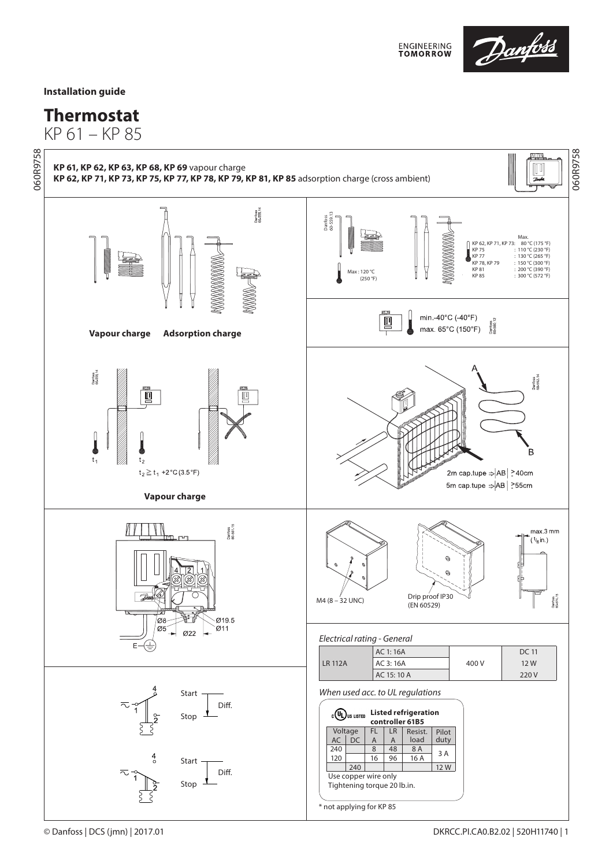

## **Installation guide**

## **Thermostat**

KP 61 – KP 85





\* not applying for KP 85